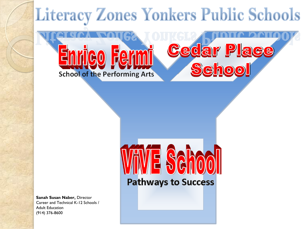# **Literacy Zones Yonkers Public Schools**



**Pathways to Success** 

**Sanah Susan Naber,** Director Career and Technical K-12 Schools / Adult Education (914) 376-8600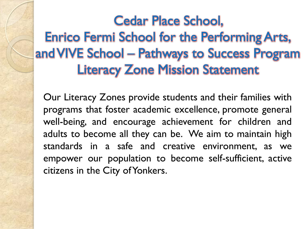#### Cedar Place School, Enrico Fermi School for the Performing Arts, and VIVE School – Pathways to Success Program Literacy Zone Mission Statement

Our Literacy Zones provide students and their families with programs that foster academic excellence, promote general well-being, and encourage achievement for children and adults to become all they can be. We aim to maintain high standards in a safe and creative environment, as we empower our population to become self-sufficient, active citizens in the City of Yonkers.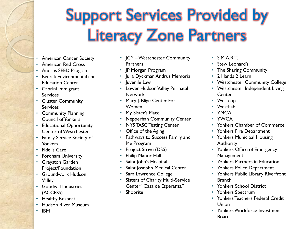# Support Services Provided by Literacy Zone Partners

- American Cancer Society
- American Red Cross
- Andrus SEED Program
- Beczak Environmental and Education Center
- Cabrini Immigrant **Services**
- Cluster Community Services
- Community Planning Council of Yonkers
- Educational Opportunity Center of Westchester
- Family Service Society of **Yonkers**
- Fidelis Care
- Fordham University
- Greyston Garden Project/Foundation
- Groundwork Hudson Valley
- Goodwill Industries (ACCESS)
- Healthy Respect
- Hudson River Museum
- IBM
- JCY –Westchester Community **Partners**
- JP Morgan Program
- Julia Dyckman Andrus Memorial
- Juvenile Law
- Lower Hudson Valley Perinatal **Network**
- Mary J. Blige Center For **Women**
- My Sister's Place
- Nepperhan Community Center
- NYS TASC Testing Center
- Office of the Aging
- Pathways to Success Family and Me Program
- Project Strive (DSS)
- Philip Manor Hall
- Saint John's Hospital
- Saint Joseph's Medical Center
- Sara Lawrence College
- Sisters of Charity Multi-Service Center "Casa de Esperanza"
- Shoprite
- S.M.A.R.T.
- Stew Leonard's
- The Sharing Community
- 2 Hands 2 Learn
- Westchester Community College
- Westchester Independent Living **Center**
- Westcop
- Westhab
- YMCA
- YWCA
- Yonkers Chamber of Commerce
- Yonkers Fire Department
- Yonkers Municipal Housing Authority
- Yonkers Office of Emergency **Management**
- Yonkers Partners in Education
- Yonkers Police Department
- Yonkers Public Library Riverfront **Branch**
- Yonkers School District
- Yonkers Spectrum
- Yonkers Teachers Federal Credit Union
- Yonkers Workforce Investment Board